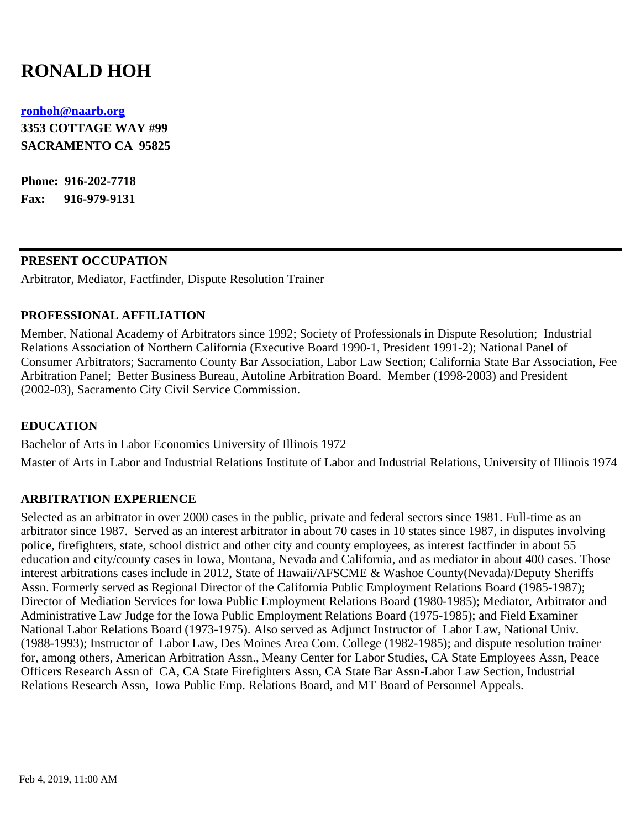# **RONALD HOH**

#### **[ronhoh@naarb.org](mailto:ronhoh@naarb.org)**

**3353 COTTAGE WAY #99 SACRAMENTO CA 95825**

**Phone: 916-202-7718 Fax: 916-979-9131**

#### **PRESENT OCCUPATION**

Arbitrator, Mediator, Factfinder, Dispute Resolution Trainer

## **PROFESSIONAL AFFILIATION**

Member, National Academy of Arbitrators since 1992; Society of Professionals in Dispute Resolution; Industrial Relations Association of Northern California (Executive Board 1990-1, President 1991-2); National Panel of Consumer Arbitrators; Sacramento County Bar Association, Labor Law Section; California State Bar Association, Fee Arbitration Panel; Better Business Bureau, Autoline Arbitration Board. Member (1998-2003) and President (2002-03), Sacramento City Civil Service Commission.

## **EDUCATION**

Bachelor of Arts in Labor Economics University of Illinois 1972

Master of Arts in Labor and Industrial Relations Institute of Labor and Industrial Relations, University of Illinois 1974

#### **ARBITRATION EXPERIENCE**

Selected as an arbitrator in over 2000 cases in the public, private and federal sectors since 1981. Full-time as an arbitrator since 1987. Served as an interest arbitrator in about 70 cases in 10 states since 1987, in disputes involving police, firefighters, state, school district and other city and county employees, as interest factfinder in about 55 education and city/county cases in Iowa, Montana, Nevada and California, and as mediator in about 400 cases. Those interest arbitrations cases include in 2012, State of Hawaii/AFSCME & Washoe County(Nevada)/Deputy Sheriffs Assn. Formerly served as Regional Director of the California Public Employment Relations Board (1985-1987); Director of Mediation Services for Iowa Public Employment Relations Board (1980-1985); Mediator, Arbitrator and Administrative Law Judge for the Iowa Public Employment Relations Board (1975-1985); and Field Examiner National Labor Relations Board (1973-1975). Also served as Adjunct Instructor of Labor Law, National Univ. (1988-1993); Instructor of Labor Law, Des Moines Area Com. College (1982-1985); and dispute resolution trainer for, among others, American Arbitration Assn., Meany Center for Labor Studies, CA State Employees Assn, Peace Officers Research Assn of CA, CA State Firefighters Assn, CA State Bar Assn-Labor Law Section, Industrial Relations Research Assn, Iowa Public Emp. Relations Board, and MT Board of Personnel Appeals.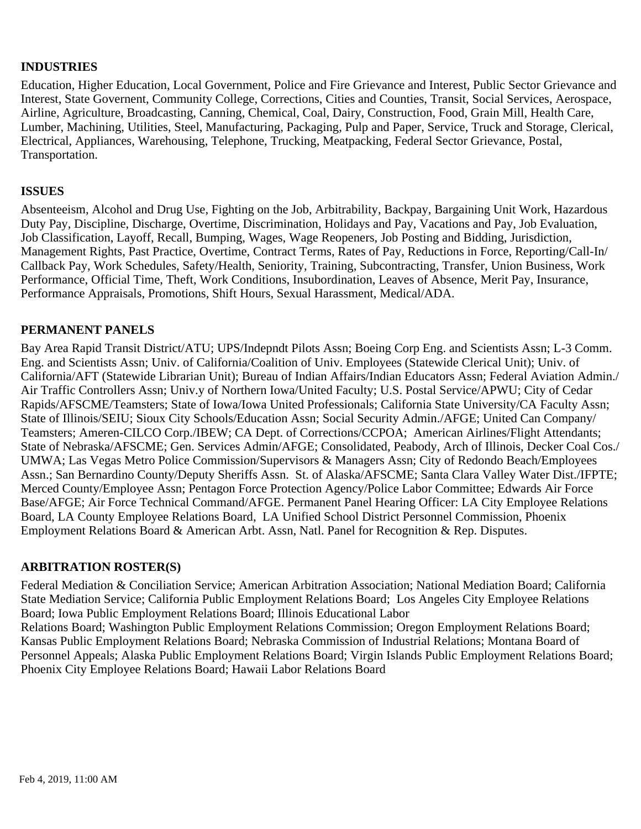## **INDUSTRIES**

Education, Higher Education, Local Government, Police and Fire Grievance and Interest, Public Sector Grievance and Interest, State Governent, Community College, Corrections, Cities and Counties, Transit, Social Services, Aerospace, Airline, Agriculture, Broadcasting, Canning, Chemical, Coal, Dairy, Construction, Food, Grain Mill, Health Care, Lumber, Machining, Utilities, Steel, Manufacturing, Packaging, Pulp and Paper, Service, Truck and Storage, Clerical, Electrical, Appliances, Warehousing, Telephone, Trucking, Meatpacking, Federal Sector Grievance, Postal, Transportation.

#### **ISSUES**

Absenteeism, Alcohol and Drug Use, Fighting on the Job, Arbitrability, Backpay, Bargaining Unit Work, Hazardous Duty Pay, Discipline, Discharge, Overtime, Discrimination, Holidays and Pay, Vacations and Pay, Job Evaluation, Job Classification, Layoff, Recall, Bumping, Wages, Wage Reopeners, Job Posting and Bidding, Jurisdiction, Management Rights, Past Practice, Overtime, Contract Terms, Rates of Pay, Reductions in Force, Reporting/Call-In/ Callback Pay, Work Schedules, Safety/Health, Seniority, Training, Subcontracting, Transfer, Union Business, Work Performance, Official Time, Theft, Work Conditions, Insubordination, Leaves of Absence, Merit Pay, Insurance, Performance Appraisals, Promotions, Shift Hours, Sexual Harassment, Medical/ADA.

## **PERMANENT PANELS**

Bay Area Rapid Transit District/ATU; UPS/Indepndt Pilots Assn; Boeing Corp Eng. and Scientists Assn; L-3 Comm. Eng. and Scientists Assn; Univ. of California/Coalition of Univ. Employees (Statewide Clerical Unit); Univ. of California/AFT (Statewide Librarian Unit); Bureau of Indian Affairs/Indian Educators Assn; Federal Aviation Admin./ Air Traffic Controllers Assn; Univ.y of Northern Iowa/United Faculty; U.S. Postal Service/APWU; City of Cedar Rapids/AFSCME/Teamsters; State of Iowa/Iowa United Professionals; California State University/CA Faculty Assn; State of Illinois/SEIU; Sioux City Schools/Education Assn; Social Security Admin./AFGE; United Can Company/ Teamsters; Ameren-CILCO Corp./IBEW; CA Dept. of Corrections/CCPOA; American Airlines/Flight Attendants; State of Nebraska/AFSCME; Gen. Services Admin/AFGE; Consolidated, Peabody, Arch of Illinois, Decker Coal Cos./ UMWA; Las Vegas Metro Police Commission/Supervisors & Managers Assn; City of Redondo Beach/Employees Assn.; San Bernardino County/Deputy Sheriffs Assn. St. of Alaska/AFSCME; Santa Clara Valley Water Dist./IFPTE; Merced County/Employee Assn; Pentagon Force Protection Agency/Police Labor Committee; Edwards Air Force Base/AFGE; Air Force Technical Command/AFGE. Permanent Panel Hearing Officer: LA City Employee Relations Board, LA County Employee Relations Board, LA Unified School District Personnel Commission, Phoenix Employment Relations Board & American Arbt. Assn, Natl. Panel for Recognition & Rep. Disputes.

## **ARBITRATION ROSTER(S)**

Federal Mediation & Conciliation Service; American Arbitration Association; National Mediation Board; California State Mediation Service; California Public Employment Relations Board; Los Angeles City Employee Relations Board; Iowa Public Employment Relations Board; Illinois Educational Labor Relations Board; Washington Public Employment Relations Commission; Oregon Employment Relations Board; Kansas Public Employment Relations Board; Nebraska Commission of Industrial Relations; Montana Board of Personnel Appeals; Alaska Public Employment Relations Board; Virgin Islands Public Employment Relations Board; Phoenix City Employee Relations Board; Hawaii Labor Relations Board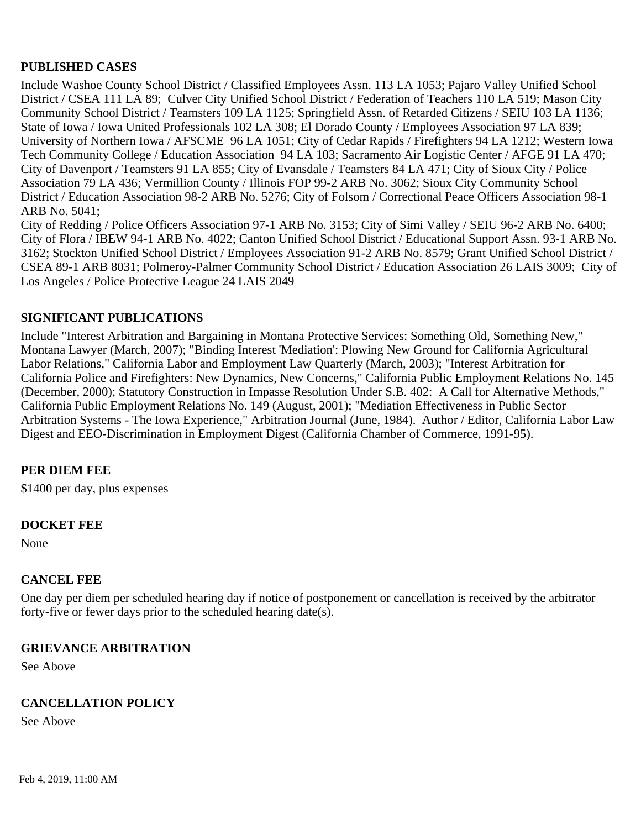## **PUBLISHED CASES**

Include Washoe County School District / Classified Employees Assn. 113 LA 1053; Pajaro Valley Unified School District / CSEA 111 LA 89; Culver City Unified School District / Federation of Teachers 110 LA 519; Mason City Community School District / Teamsters 109 LA 1125; Springfield Assn. of Retarded Citizens / SEIU 103 LA 1136; State of Iowa / Iowa United Professionals 102 LA 308; El Dorado County / Employees Association 97 LA 839; University of Northern Iowa / AFSCME 96 LA 1051; City of Cedar Rapids / Firefighters 94 LA 1212; Western Iowa Tech Community College / Education Association 94 LA 103; Sacramento Air Logistic Center / AFGE 91 LA 470; City of Davenport / Teamsters 91 LA 855; City of Evansdale / Teamsters 84 LA 471; City of Sioux City / Police Association 79 LA 436; Vermillion County / Illinois FOP 99-2 ARB No. 3062; Sioux City Community School District / Education Association 98-2 ARB No. 5276; City of Folsom / Correctional Peace Officers Association 98-1 ARB No. 5041;

City of Redding / Police Officers Association 97-1 ARB No. 3153; City of Simi Valley / SEIU 96-2 ARB No. 6400; City of Flora / IBEW 94-1 ARB No. 4022; Canton Unified School District / Educational Support Assn. 93-1 ARB No. 3162; Stockton Unified School District / Employees Association 91-2 ARB No. 8579; Grant Unified School District / CSEA 89-1 ARB 8031; Polmeroy-Palmer Community School District / Education Association 26 LAIS 3009; City of Los Angeles / Police Protective League 24 LAIS 2049

## **SIGNIFICANT PUBLICATIONS**

Include "Interest Arbitration and Bargaining in Montana Protective Services: Something Old, Something New," Montana Lawyer (March, 2007); "Binding Interest 'Mediation': Plowing New Ground for California Agricultural Labor Relations," California Labor and Employment Law Quarterly (March, 2003); "Interest Arbitration for California Police and Firefighters: New Dynamics, New Concerns," California Public Employment Relations No. 145 (December, 2000); Statutory Construction in Impasse Resolution Under S.B. 402: A Call for Alternative Methods," California Public Employment Relations No. 149 (August, 2001); "Mediation Effectiveness in Public Sector Arbitration Systems - The Iowa Experience," Arbitration Journal (June, 1984). Author / Editor, California Labor Law Digest and EEO-Discrimination in Employment Digest (California Chamber of Commerce, 1991-95).

## **PER DIEM FEE**

\$1400 per day, plus expenses

#### **DOCKET FEE**

None

#### **CANCEL FEE**

One day per diem per scheduled hearing day if notice of postponement or cancellation is received by the arbitrator forty-five or fewer days prior to the scheduled hearing date(s).

#### **GRIEVANCE ARBITRATION**

See Above

#### **CANCELLATION POLICY**

See Above